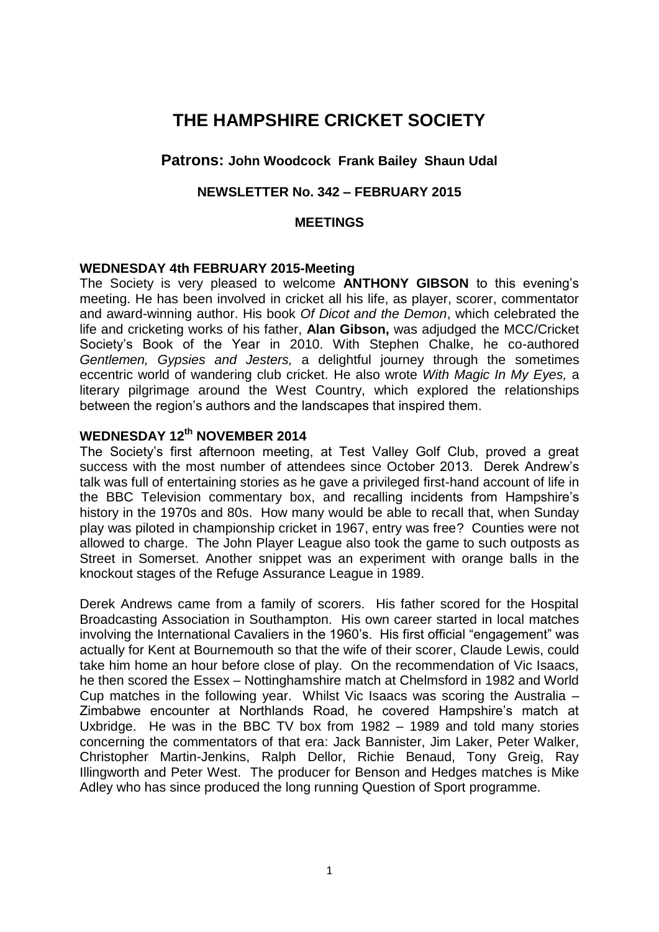# **THE HAMPSHIRE CRICKET SOCIETY**

## **Patrons: John Woodcock Frank Bailey Shaun Udal**

## **NEWSLETTER No. 342 – FEBRUARY 2015**

#### **MEETINGS**

#### **WEDNESDAY 4th FEBRUARY 2015-Meeting**

The Society is very pleased to welcome **ANTHONY GIBSON** to this evening's meeting. He has been involved in cricket all his life, as player, scorer, commentator and award-winning author. His book *Of Dicot and the Demon*, which celebrated the life and cricketing works of his father, **Alan Gibson,** was adjudged the MCC/Cricket Society's Book of the Year in 2010. With Stephen Chalke, he co-authored *Gentlemen, Gypsies and Jesters,* a delightful journey through the sometimes eccentric world of wandering club cricket. He also wrote *With Magic In My Eyes,* a literary pilgrimage around the West Country, which explored the relationships between the region's authors and the landscapes that inspired them.

## **WEDNESDAY 12th NOVEMBER 2014**

The Society's first afternoon meeting, at Test Valley Golf Club, proved a great success with the most number of attendees since October 2013. Derek Andrew's talk was full of entertaining stories as he gave a privileged first-hand account of life in the BBC Television commentary box, and recalling incidents from Hampshire's history in the 1970s and 80s. How many would be able to recall that, when Sunday play was piloted in championship cricket in 1967, entry was free? Counties were not allowed to charge. The John Player League also took the game to such outposts as Street in Somerset. Another snippet was an experiment with orange balls in the knockout stages of the Refuge Assurance League in 1989.

Derek Andrews came from a family of scorers. His father scored for the Hospital Broadcasting Association in Southampton. His own career started in local matches involving the International Cavaliers in the 1960's. His first official "engagement" was actually for Kent at Bournemouth so that the wife of their scorer, Claude Lewis, could take him home an hour before close of play. On the recommendation of Vic Isaacs, he then scored the Essex – Nottinghamshire match at Chelmsford in 1982 and World Cup matches in the following year. Whilst Vic Isaacs was scoring the Australia – Zimbabwe encounter at Northlands Road, he covered Hampshire's match at Uxbridge. He was in the BBC TV box from 1982 – 1989 and told many stories concerning the commentators of that era: Jack Bannister, Jim Laker, Peter Walker, Christopher Martin-Jenkins, Ralph Dellor, Richie Benaud, Tony Greig, Ray Illingworth and Peter West. The producer for Benson and Hedges matches is Mike Adley who has since produced the long running Question of Sport programme.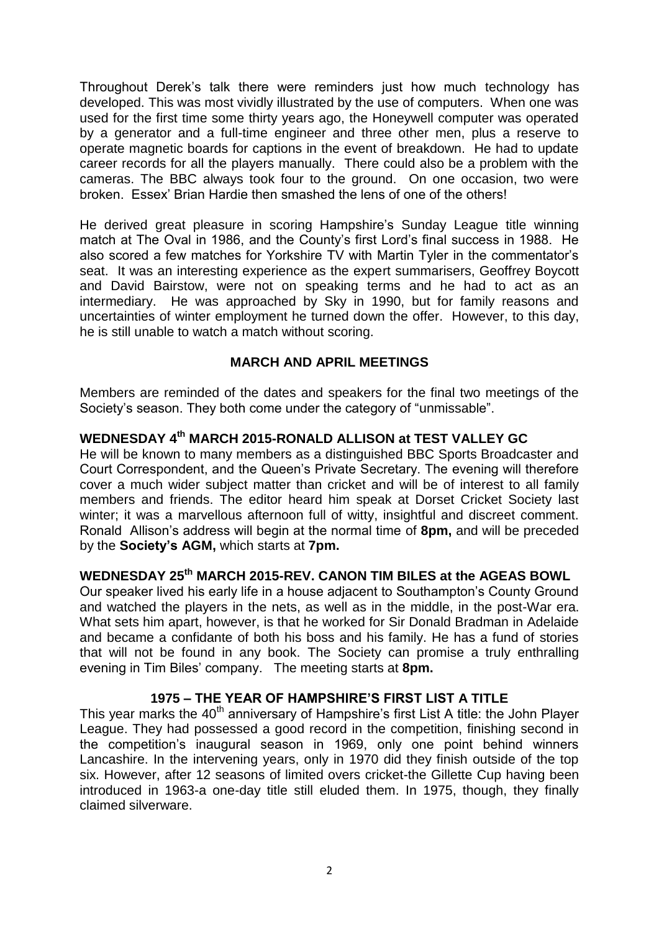Throughout Derek's talk there were reminders just how much technology has developed. This was most vividly illustrated by the use of computers. When one was used for the first time some thirty years ago, the Honeywell computer was operated by a generator and a full-time engineer and three other men, plus a reserve to operate magnetic boards for captions in the event of breakdown. He had to update career records for all the players manually. There could also be a problem with the cameras. The BBC always took four to the ground. On one occasion, two were broken. Essex' Brian Hardie then smashed the lens of one of the others!

He derived great pleasure in scoring Hampshire's Sunday League title winning match at The Oval in 1986, and the County's first Lord's final success in 1988. He also scored a few matches for Yorkshire TV with Martin Tyler in the commentator's seat. It was an interesting experience as the expert summarisers, Geoffrey Boycott and David Bairstow, were not on speaking terms and he had to act as an intermediary. He was approached by Sky in 1990, but for family reasons and uncertainties of winter employment he turned down the offer. However, to this day, he is still unable to watch a match without scoring.

## **MARCH AND APRIL MEETINGS**

Members are reminded of the dates and speakers for the final two meetings of the Society's season. They both come under the category of "unmissable".

## **WEDNESDAY 4 th MARCH 2015-RONALD ALLISON at TEST VALLEY GC**

He will be known to many members as a distinguished BBC Sports Broadcaster and Court Correspondent, and the Queen's Private Secretary. The evening will therefore cover a much wider subject matter than cricket and will be of interest to all family members and friends. The editor heard him speak at Dorset Cricket Society last winter; it was a marvellous afternoon full of witty, insightful and discreet comment. Ronald Allison's address will begin at the normal time of **8pm,** and will be preceded by the **Society's AGM,** which starts at **7pm.** 

## **WEDNESDAY 25th MARCH 2015-REV. CANON TIM BILES at the AGEAS BOWL**

Our speaker lived his early life in a house adjacent to Southampton's County Ground and watched the players in the nets, as well as in the middle, in the post-War era. What sets him apart, however, is that he worked for Sir Donald Bradman in Adelaide and became a confidante of both his boss and his family. He has a fund of stories that will not be found in any book. The Society can promise a truly enthralling evening in Tim Biles' company. The meeting starts at **8pm.** 

## **1975 – THE YEAR OF HAMPSHIRE'S FIRST LIST A TITLE**

This year marks the 40<sup>th</sup> anniversary of Hampshire's first List A title: the John Player League. They had possessed a good record in the competition, finishing second in the competition's inaugural season in 1969, only one point behind winners Lancashire. In the intervening years, only in 1970 did they finish outside of the top six. However, after 12 seasons of limited overs cricket-the Gillette Cup having been introduced in 1963-a one-day title still eluded them. In 1975, though, they finally claimed silverware.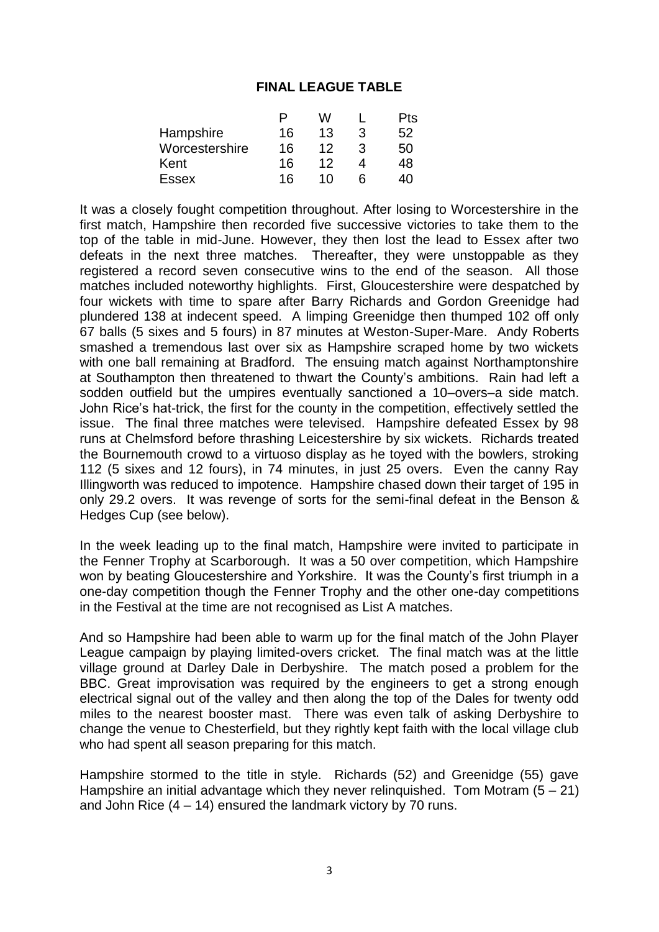## **FINAL LEAGUE TABLE**

|                | Ρ  | w  |   | Pts |
|----------------|----|----|---|-----|
| Hampshire      | 16 | 13 | 3 | 52  |
| Worcestershire | 16 | 12 | З | 50  |
| Kent           | 16 | 12 |   | 48  |
| <b>Essex</b>   | 16 | 10 | ห | 40  |

It was a closely fought competition throughout. After losing to Worcestershire in the first match, Hampshire then recorded five successive victories to take them to the top of the table in mid-June. However, they then lost the lead to Essex after two defeats in the next three matches. Thereafter, they were unstoppable as they registered a record seven consecutive wins to the end of the season. All those matches included noteworthy highlights. First, Gloucestershire were despatched by four wickets with time to spare after Barry Richards and Gordon Greenidge had plundered 138 at indecent speed. A limping Greenidge then thumped 102 off only 67 balls (5 sixes and 5 fours) in 87 minutes at Weston-Super-Mare. Andy Roberts smashed a tremendous last over six as Hampshire scraped home by two wickets with one ball remaining at Bradford. The ensuing match against Northamptonshire at Southampton then threatened to thwart the County's ambitions. Rain had left a sodden outfield but the umpires eventually sanctioned a 10–overs–a side match. John Rice's hat-trick, the first for the county in the competition, effectively settled the issue. The final three matches were televised. Hampshire defeated Essex by 98 runs at Chelmsford before thrashing Leicestershire by six wickets. Richards treated the Bournemouth crowd to a virtuoso display as he toyed with the bowlers, stroking 112 (5 sixes and 12 fours), in 74 minutes, in just 25 overs. Even the canny Ray Illingworth was reduced to impotence. Hampshire chased down their target of 195 in only 29.2 overs. It was revenge of sorts for the semi-final defeat in the Benson & Hedges Cup (see below).

In the week leading up to the final match, Hampshire were invited to participate in the Fenner Trophy at Scarborough. It was a 50 over competition, which Hampshire won by beating Gloucestershire and Yorkshire. It was the County's first triumph in a one-day competition though the Fenner Trophy and the other one-day competitions in the Festival at the time are not recognised as List A matches.

And so Hampshire had been able to warm up for the final match of the John Player League campaign by playing limited-overs cricket. The final match was at the little village ground at Darley Dale in Derbyshire. The match posed a problem for the BBC. Great improvisation was required by the engineers to get a strong enough electrical signal out of the valley and then along the top of the Dales for twenty odd miles to the nearest booster mast. There was even talk of asking Derbyshire to change the venue to Chesterfield, but they rightly kept faith with the local village club who had spent all season preparing for this match.

Hampshire stormed to the title in style. Richards (52) and Greenidge (55) gave Hampshire an initial advantage which they never relinguished. Tom Motram  $(5 - 21)$ and John Rice (4 – 14) ensured the landmark victory by 70 runs.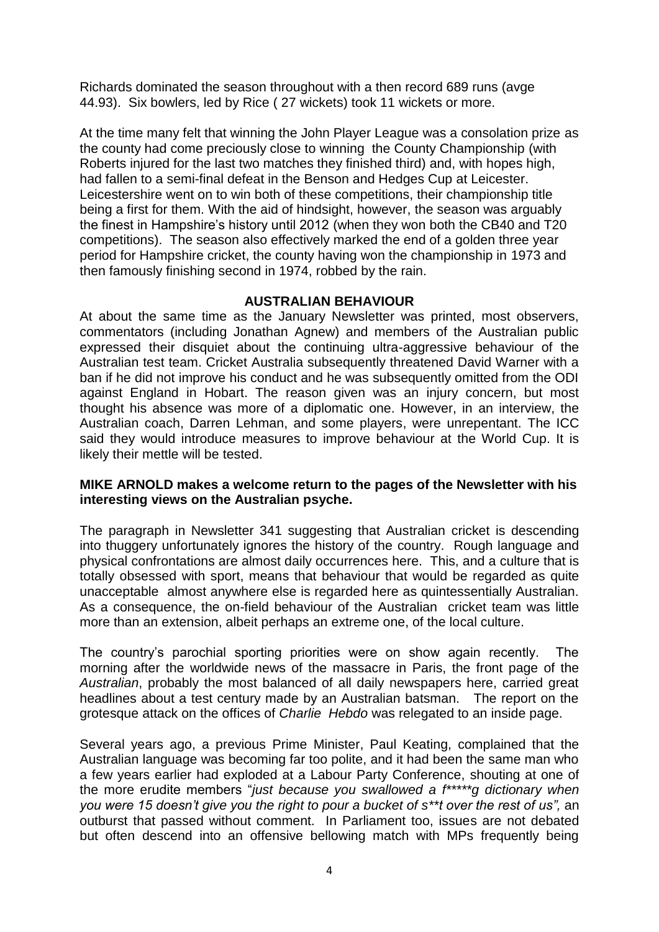Richards dominated the season throughout with a then record 689 runs (avge 44.93). Six bowlers, led by Rice ( 27 wickets) took 11 wickets or more.

At the time many felt that winning the John Player League was a consolation prize as the county had come preciously close to winning the County Championship (with Roberts injured for the last two matches they finished third) and, with hopes high, had fallen to a semi-final defeat in the Benson and Hedges Cup at Leicester. Leicestershire went on to win both of these competitions, their championship title being a first for them. With the aid of hindsight, however, the season was arguably the finest in Hampshire's history until 2012 (when they won both the CB40 and T20 competitions). The season also effectively marked the end of a golden three year period for Hampshire cricket, the county having won the championship in 1973 and then famously finishing second in 1974, robbed by the rain.

#### **AUSTRALIAN BEHAVIOUR**

At about the same time as the January Newsletter was printed, most observers, commentators (including Jonathan Agnew) and members of the Australian public expressed their disquiet about the continuing ultra-aggressive behaviour of the Australian test team. Cricket Australia subsequently threatened David Warner with a ban if he did not improve his conduct and he was subsequently omitted from the ODI against England in Hobart. The reason given was an injury concern, but most thought his absence was more of a diplomatic one. However, in an interview, the Australian coach, Darren Lehman, and some players, were unrepentant. The ICC said they would introduce measures to improve behaviour at the World Cup. It is likely their mettle will be tested.

#### **MIKE ARNOLD makes a welcome return to the pages of the Newsletter with his interesting views on the Australian psyche.**

The paragraph in Newsletter 341 suggesting that Australian cricket is descending into thuggery unfortunately ignores the history of the country. Rough language and physical confrontations are almost daily occurrences here. This, and a culture that is totally obsessed with sport, means that behaviour that would be regarded as quite unacceptable almost anywhere else is regarded here as quintessentially Australian. As a consequence, the on-field behaviour of the Australian cricket team was little more than an extension, albeit perhaps an extreme one, of the local culture.

The country's parochial sporting priorities were on show again recently. The morning after the worldwide news of the massacre in Paris, the front page of the *Australian*, probably the most balanced of all daily newspapers here, carried great headlines about a test century made by an Australian batsman. The report on the grotesque attack on the offices of *Charlie Hebdo* was relegated to an inside page.

Several years ago, a previous Prime Minister, Paul Keating, complained that the Australian language was becoming far too polite, and it had been the same man who a few years earlier had exploded at a Labour Party Conference, shouting at one of the more erudite members "*just because you swallowed a f\*\*\*\*\*g dictionary when you were 15 doesn't give you the right to pour a bucket of s\*\*t over the rest of us",* an outburst that passed without comment. In Parliament too, issues are not debated but often descend into an offensive bellowing match with MPs frequently being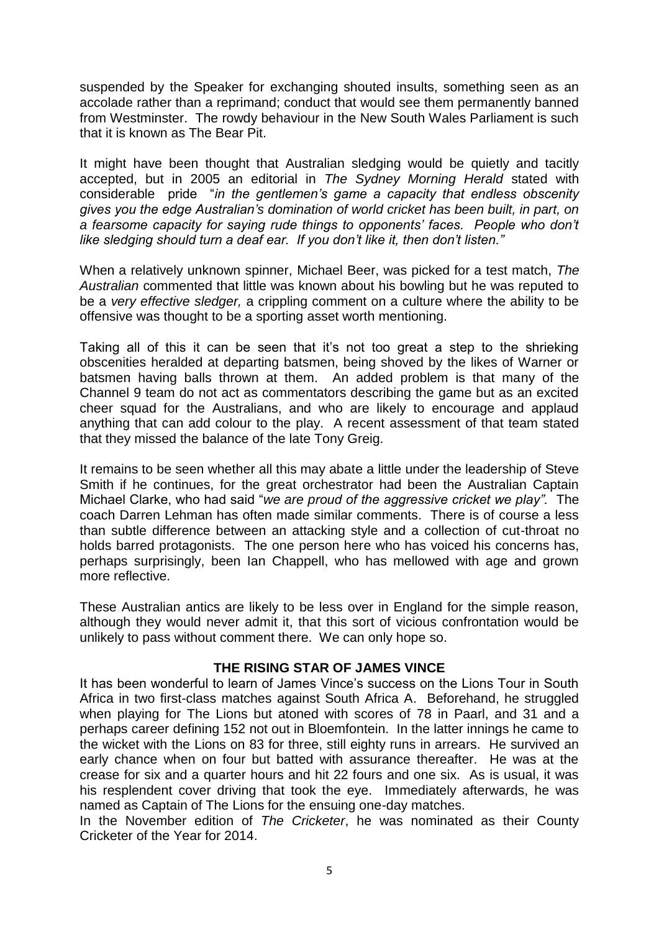suspended by the Speaker for exchanging shouted insults, something seen as an accolade rather than a reprimand; conduct that would see them permanently banned from Westminster. The rowdy behaviour in the New South Wales Parliament is such that it is known as The Bear Pit.

It might have been thought that Australian sledging would be quietly and tacitly accepted, but in 2005 an editorial in *The Sydney Morning Herald* stated with considerable pride "*in the gentlemen's game a capacity that endless obscenity gives you the edge Australian's domination of world cricket has been built, in part, on a fearsome capacity for saying rude things to opponents' faces. People who don't like sledging should turn a deaf ear. If you don't like it, then don't listen."*

When a relatively unknown spinner, Michael Beer, was picked for a test match, *The Australian* commented that little was known about his bowling but he was reputed to be a *very effective sledger,* a crippling comment on a culture where the ability to be offensive was thought to be a sporting asset worth mentioning.

Taking all of this it can be seen that it's not too great a step to the shrieking obscenities heralded at departing batsmen, being shoved by the likes of Warner or batsmen having balls thrown at them. An added problem is that many of the Channel 9 team do not act as commentators describing the game but as an excited cheer squad for the Australians, and who are likely to encourage and applaud anything that can add colour to the play. A recent assessment of that team stated that they missed the balance of the late Tony Greig.

It remains to be seen whether all this may abate a little under the leadership of Steve Smith if he continues, for the great orchestrator had been the Australian Captain Michael Clarke, who had said "*we are proud of the aggressive cricket we play".* The coach Darren Lehman has often made similar comments. There is of course a less than subtle difference between an attacking style and a collection of cut-throat no holds barred protagonists. The one person here who has voiced his concerns has, perhaps surprisingly, been Ian Chappell, who has mellowed with age and grown more reflective.

These Australian antics are likely to be less over in England for the simple reason, although they would never admit it, that this sort of vicious confrontation would be unlikely to pass without comment there. We can only hope so.

## **THE RISING STAR OF JAMES VINCE**

It has been wonderful to learn of James Vince's success on the Lions Tour in South Africa in two first-class matches against South Africa A. Beforehand, he struggled when playing for The Lions but atoned with scores of 78 in Paarl, and 31 and a perhaps career defining 152 not out in Bloemfontein. In the latter innings he came to the wicket with the Lions on 83 for three, still eighty runs in arrears. He survived an early chance when on four but batted with assurance thereafter. He was at the crease for six and a quarter hours and hit 22 fours and one six. As is usual, it was his resplendent cover driving that took the eye. Immediately afterwards, he was named as Captain of The Lions for the ensuing one-day matches.

In the November edition of *The Cricketer*, he was nominated as their County Cricketer of the Year for 2014.